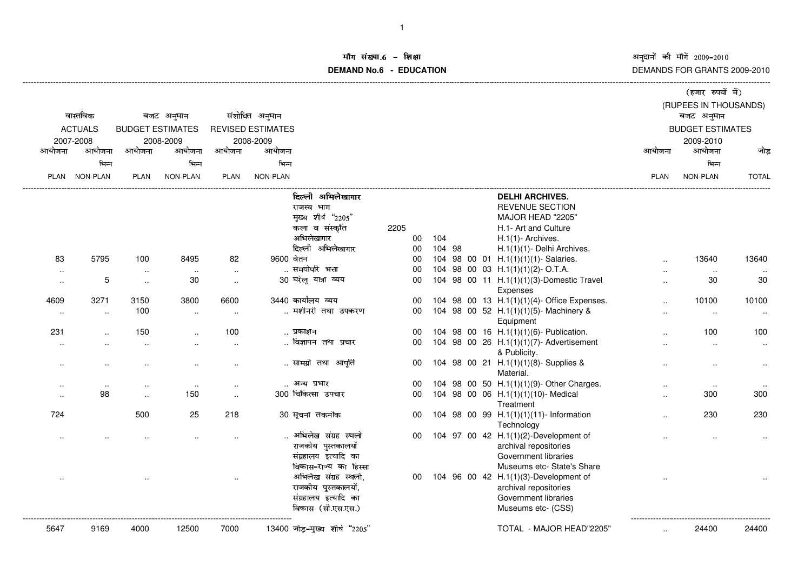अनुदानों की माँगें 2009–2010<br>DEMANDS FOR GRANTS 2009-2010

## ॉग संख्या.6 -<br>WDMs C **DEMAND No.6 - EDUCATIONराक्षा संस्कृतिका संस्कृतिका संस्कृतिका संस्कृतिका संस्कृतिका संस्कृतिका संस्कृतिका संस्कृतिका संस्कृतिका संस्**

|                             |                      |                                      |           |                          |           |                                 |                 |        |  |            |                                             |                         | (हजार रुपयों में)     |                      |
|-----------------------------|----------------------|--------------------------------------|-----------|--------------------------|-----------|---------------------------------|-----------------|--------|--|------------|---------------------------------------------|-------------------------|-----------------------|----------------------|
|                             |                      |                                      |           |                          |           |                                 |                 |        |  |            |                                             |                         | (RUPEES IN THOUSANDS) |                      |
| वास्तविक<br>बजट अनुमान      |                      |                                      |           | संशोधित अनुमान           |           |                                 |                 |        |  | बजट अनुमान |                                             |                         |                       |                      |
| <b>ACTUALS</b><br>2007-2008 |                      |                                      |           | <b>REVISED ESTIMATES</b> |           |                                 |                 |        |  |            |                                             | <b>BUDGET ESTIMATES</b> |                       |                      |
|                             |                      | <b>BUDGET ESTIMATES</b><br>2008-2009 |           |                          | 2008-2009 |                                 |                 |        |  |            |                                             |                         | 2009-2010             |                      |
| आयोजना                      | आयोजना               | आयोजना                               | आयोजना    | आयोजना                   | आयोजना    |                                 |                 |        |  |            |                                             | आयोजना                  | आयोजना                | जोड                  |
|                             | भिन्न                |                                      | भिन्न     |                          | भिन्न     |                                 |                 |        |  |            |                                             |                         | भिन्न                 |                      |
|                             |                      |                                      |           |                          |           |                                 |                 |        |  |            |                                             |                         |                       |                      |
| PLAN                        | <b>NON-PLAN</b>      | <b>PLAN</b>                          | NON-PLAN  | PLAN                     | NON-PLAN  |                                 |                 |        |  |            |                                             | <b>PLAN</b>             | <b>NON-PLAN</b>       | <b>TOTAL</b>         |
|                             |                      |                                      |           |                          |           | दिल्ली अभिलेखागार               |                 |        |  |            | <b>DELHI ARCHIVES.</b>                      |                         |                       |                      |
|                             |                      |                                      |           |                          |           | राजस्व भाग                      |                 |        |  |            | <b>REVENUE SECTION</b>                      |                         |                       |                      |
|                             |                      |                                      |           |                          |           | मुख्य शीर्ष "2205"              |                 |        |  |            | MAJOR HEAD "2205"                           |                         |                       |                      |
|                             |                      |                                      |           |                          |           | कला व संस्कृति                  | 2205            |        |  |            | H.1- Art and Culture                        |                         |                       |                      |
|                             |                      |                                      |           |                          |           | अभिलेखागार                      | 00              | 104    |  |            | H.1(1)- Archives.                           |                         |                       |                      |
|                             |                      |                                      |           |                          |           | दिल्ली अभिलेखागार               | 00              | 104 98 |  |            | H.1(1)(1)- Delhi Archives.                  |                         |                       |                      |
| 83                          | 5795                 | 100                                  | 8495      | 82                       | 9600 वेतन |                                 | 00              |        |  |            | 104 98 00 01 H.1(1)(1)(1)- Salaries.        | $\ddot{\phantom{a}}$    | 13640                 | 13640                |
| $\sim$                      |                      | $\sim$                               | $\sim$    | $\sim$                   |           | समयोपरि भत्ता                   | 00              |        |  |            | 104 98 00 03 H.1(1)(1)(2)-O.T.A.            | $\sim$                  | $\ldots$              |                      |
| $\ddotsc$                   | 5                    | $\ddot{\phantom{a}}$                 | 30        | $\cdot$ .                |           | 30 घरेलू यात्रा व्यय            | 00              |        |  |            | 104 98 00 11 H.1(1)(1)(3)-Domestic Travel   | $\ddotsc$               | 30                    | 30                   |
|                             |                      |                                      |           |                          |           |                                 |                 |        |  |            | <b>Expenses</b>                             |                         |                       |                      |
| 4609                        | 3271                 | 3150                                 | 3800      | 6600                     |           | 3440 कार्यालय व्यय              | 00              |        |  |            | 104 98 00 13 H.1(1)(1)(4)- Office Expenses. | $\ddotsc$               | 10100                 | 10100                |
| $\cdot$ .                   | $\sim$               | 100                                  | $\sim$    |                          |           | मशीनरी तथा उपकरण                | 00              |        |  |            | 104 98 00 52 H.1(1)(1)(5)- Machinery &      | $\cdot$ .               | $\cdot$ .             | $\sim$               |
|                             |                      |                                      |           |                          |           |                                 |                 |        |  |            | Equipment                                   |                         |                       |                      |
| 231                         |                      | 150                                  |           | 100                      |           | प्रकाशन                         | 00              |        |  |            | 104 98 00 16 H.1(1)(1)(6)- Publication.     |                         | 100                   | 100                  |
| $\ddotsc$                   |                      | $\ddotsc$                            | $\ddotsc$ | $\ddotsc$                |           | विज्ञापन तथा प्रचार             | 00              |        |  |            | 104 98 00 26 H.1(1)(1)(7)- Advertisement    |                         | $\sim$                | $\ddot{\phantom{1}}$ |
|                             |                      |                                      |           |                          |           |                                 |                 |        |  |            | & Publicity.                                |                         |                       |                      |
| $\cdot$ .                   | $\ddot{\phantom{a}}$ | $\ddot{\phantom{a}}$                 |           | $\ddot{\phantom{a}}$     |           | सामग्री तथा आपूर्ति             | 00              |        |  |            | 104 98 00 21 H.1(1)(1)(8)- Supplies &       | $\cdot$ .               | $\ddot{\phantom{a}}$  | $\ddotsc$            |
|                             |                      |                                      |           |                          |           |                                 |                 |        |  |            | Material.                                   |                         |                       |                      |
| $\sim$                      | $\sim$               | $\ddotsc$                            | $\cdot$ . | $\ddotsc$                |           | अन्य प्रभार                     | 00              |        |  |            | 104 98 00 50 H.1(1)(1)(9)- Other Charges.   | ٠.                      | $\sim$                |                      |
| $\cdot$ .                   | 98                   | $\ddot{\phantom{a}}$                 | 150       | $\ddotsc$                |           | 300 चिकित्सा उपचार              | 00              |        |  |            | 104 98 00 06 H.1(1)(1)(10)- Medical         | $\cdot$ .               | 300                   | 300                  |
|                             |                      |                                      |           |                          |           |                                 |                 |        |  |            | Treatment                                   |                         |                       |                      |
| 724                         |                      | 500                                  | 25        | 218                      |           | 30 सूचना तकनीक                  | 00              |        |  |            | 104 98 00 99 H.1(1)(1)(11)- Information     |                         | 230                   | 230                  |
|                             |                      |                                      |           |                          |           |                                 |                 |        |  |            | Technology                                  |                         |                       |                      |
|                             |                      |                                      |           |                          |           | अभिलेख संग्रह स्थलो             | 00              |        |  |            | 104 97 00 42 H.1(1)(2)-Development of       |                         |                       |                      |
|                             |                      |                                      |           |                          |           | राजकीय पुस्तकालयों              |                 |        |  |            | archival repositories                       |                         |                       |                      |
|                             |                      |                                      |           |                          |           | संग्रहालय इत्यादि का            |                 |        |  |            | Government libraries                        |                         |                       |                      |
|                             |                      |                                      |           |                          |           | विकास–राज्य का हिस्सा           |                 |        |  |            | Museums etc- State's Share                  |                         |                       |                      |
|                             |                      |                                      |           |                          |           | अभिलेख संग्रह स्थलो,            | 00 <sup>°</sup> |        |  |            | 104 96 00 42 H.1(1)(3)-Development of       |                         |                       |                      |
|                             |                      |                                      |           |                          |           | राजकीय पुस्तकालयों,             |                 |        |  |            | archival repositories                       |                         |                       |                      |
|                             |                      |                                      |           |                          |           | संग्रहालय इत्यादि का            |                 |        |  |            | Government libraries                        |                         |                       |                      |
|                             |                      |                                      |           |                          |           | विकास (सी.एस.एस.)               |                 |        |  |            | Museums etc- (CSS)                          |                         |                       |                      |
|                             |                      |                                      |           |                          |           |                                 |                 |        |  |            |                                             |                         |                       |                      |
| 5647                        | 9169                 | 4000                                 | 12500     | 7000                     |           | $13400$ जोड़-मुख्य शीर्ष "2205" |                 |        |  |            | TOTAL - MAJOR HEAD"2205"                    | ٠.                      | 24400                 | 24400                |
|                             |                      |                                      |           |                          |           |                                 |                 |        |  |            |                                             |                         |                       |                      |

-------------------------------------------------------------------------------------------------------------------------------------------------------------------------------------------------------------------------------------------------------------------------------------